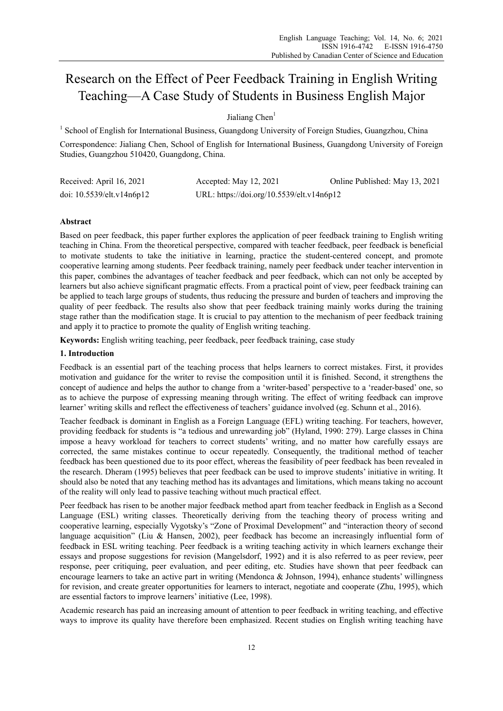# Research on the Effect of Peer Feedback Training in English Writing Teaching—A Case Study of Students in Business English Major

## Jialiang Chen<sup>1</sup>

<sup>1</sup> School of English for International Business, Guangdong University of Foreign Studies, Guangzhou, China Correspondence: Jialiang Chen, School of English for International Business, Guangdong University of Foreign

| Received: April 16, 2021        | Accepted: May $12, 2021$                  | Online Published: May 13, 2021 |
|---------------------------------|-------------------------------------------|--------------------------------|
| doi: $10.5539$ /elt.v $14n6p12$ | URL: https://doi.org/10.5539/elt.v14n6p12 |                                |

## **Abstract**

Studies, Guangzhou 510420, Guangdong, China.

Based on peer feedback, this paper further explores the application of peer feedback training to English writing teaching in China. From the theoretical perspective, compared with teacher feedback, peer feedback is beneficial to motivate students to take the initiative in learning, practice the student-centered concept, and promote cooperative learning among students. Peer feedback training, namely peer feedback under teacher intervention in this paper, combines the advantages of teacher feedback and peer feedback, which can not only be accepted by learners but also achieve significant pragmatic effects. From a practical point of view, peer feedback training can be applied to teach large groups of students, thus reducing the pressure and burden of teachers and improving the quality of peer feedback. The results also show that peer feedback training mainly works during the training stage rather than the modification stage. It is crucial to pay attention to the mechanism of peer feedback training and apply it to practice to promote the quality of English writing teaching.

**Keywords:** English writing teaching, peer feedback, peer feedback training, case study

## **1. Introduction**

Feedback is an essential part of the teaching process that helps learners to correct mistakes. First, it provides motivation and guidance for the writer to revise the composition until it is finished. Second, it strengthens the concept of audience and helps the author to change from a 'writer-based' perspective to a 'reader-based' one, so as to achieve the purpose of expressing meaning through writing. The effect of writing feedback can improve learner' writing skills and reflect the effectiveness of teachers' guidance involved (eg. Schunn et al., 2016).

Teacher feedback is dominant in English as a Foreign Language (EFL) writing teaching. For teachers, however, providing feedback for students is "a tedious and unrewarding job" (Hyland, 1990: 279). Large classes in China impose a heavy workload for teachers to correct students' writing, and no matter how carefully essays are corrected, the same mistakes continue to occur repeatedly. Consequently, the traditional method of teacher feedback has been questioned due to its poor effect, whereas the feasibility of peer feedback has been revealed in the research. Dheram (1995) believes that peer feedback can be used to improve students' initiative in writing. It should also be noted that any teaching method has its advantages and limitations, which means taking no account of the reality will only lead to passive teaching without much practical effect.

Peer feedback has risen to be another major feedback method apart from teacher feedback in English as a Second Language (ESL) writing classes. Theoretically deriving from the teaching theory of process writing and cooperative learning, especially Vygotsky's "Zone of Proximal Development" and "interaction theory of second language acquisition" (Liu & Hansen, 2002), peer feedback has become an increasingly influential form of feedback in ESL writing teaching. Peer feedback is a writing teaching activity in which learners exchange their essays and propose suggestions for revision (Mangelsdorf, 1992) and it is also referred to as peer review, peer response, peer critiquing, peer evaluation, and peer editing, etc. Studies have shown that peer feedback can encourage learners to take an active part in writing (Mendonca & Johnson, 1994), enhance students' willingness for revision, and create greater opportunities for learners to interact, negotiate and cooperate (Zhu, 1995), which are essential factors to improve learners' initiative (Lee, 1998).

Academic research has paid an increasing amount of attention to peer feedback in writing teaching, and effective ways to improve its quality have therefore been emphasized. Recent studies on English writing teaching have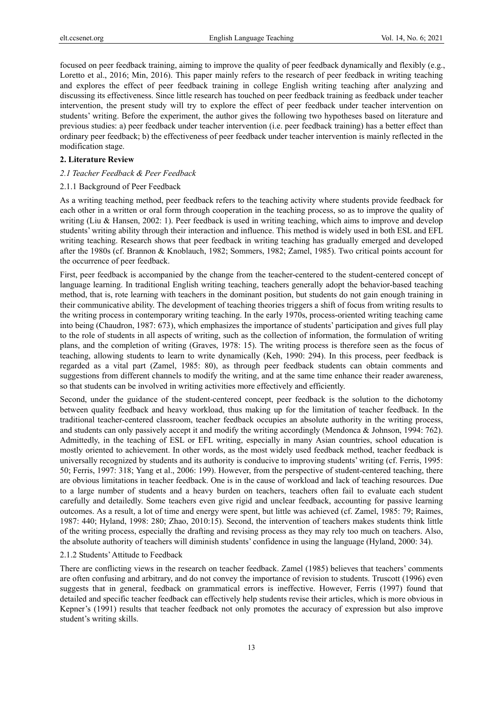focused on peer feedback training, aiming to improve the quality of peer feedback dynamically and flexibly (e.g., Loretto et al., 2016; Min, 2016). This paper mainly refers to the research of peer feedback in writing teaching and explores the effect of peer feedback training in college English writing teaching after analyzing and discussing its effectiveness. Since little research has touched on peer feedback training as feedback under teacher intervention, the present study will try to explore the effect of peer feedback under teacher intervention on students' writing. Before the experiment, the author gives the following two hypotheses based on literature and previous studies: a) peer feedback under teacher intervention (i.e. peer feedback training) has a better effect than ordinary peer feedback; b) the effectiveness of peer feedback under teacher intervention is mainly reflected in the modification stage.

## **2. Literature Review**

#### *2.1 Teacher Feedback & Peer Feedback*

## 2.1.1 Background of Peer Feedback

As a writing teaching method, peer feedback refers to the teaching activity where students provide feedback for each other in a written or oral form through cooperation in the teaching process, so as to improve the quality of writing (Liu & Hansen, 2002: 1). Peer feedback is used in writing teaching, which aims to improve and develop students' writing ability through their interaction and influence. This method is widely used in both ESL and EFL writing teaching. Research shows that peer feedback in writing teaching has gradually emerged and developed after the 1980s (cf. Brannon & Knoblauch, 1982; Sommers, 1982; Zamel, 1985). Two critical points account for the occurrence of peer feedback.

First, peer feedback is accompanied by the change from the teacher-centered to the student-centered concept of language learning. In traditional English writing teaching, teachers generally adopt the behavior-based teaching method, that is, rote learning with teachers in the dominant position, but students do not gain enough training in their communicative ability. The development of teaching theories triggers a shift of focus from writing results to the writing process in contemporary writing teaching. In the early 1970s, process-oriented writing teaching came into being (Chaudron, 1987: 673), which emphasizes the importance of students' participation and gives full play to the role of students in all aspects of writing, such as the collection of information, the formulation of writing plans, and the completion of writing (Graves, 1978: 15). The writing process is therefore seen as the focus of teaching, allowing students to learn to write dynamically (Keh, 1990: 294). In this process, peer feedback is regarded as a vital part (Zamel, 1985: 80), as through peer feedback students can obtain comments and suggestions from different channels to modify the writing, and at the same time enhance their reader awareness, so that students can be involved in writing activities more effectively and efficiently.

Second, under the guidance of the student-centered concept, peer feedback is the solution to the dichotomy between quality feedback and heavy workload, thus making up for the limitation of teacher feedback. In the traditional teacher-centered classroom, teacher feedback occupies an absolute authority in the writing process, and students can only passively accept it and modify the writing accordingly (Mendonca & Johnson, 1994: 762). Admittedly, in the teaching of ESL or EFL writing, especially in many Asian countries, school education is mostly oriented to achievement. In other words, as the most widely used feedback method, teacher feedback is universally recognized by students and its authority is conducive to improving students' writing (cf. Ferris, 1995: 50; Ferris, 1997: 318; Yang et al., 2006: 199). However, from the perspective of student-centered teaching, there are obvious limitations in teacher feedback. One is in the cause of workload and lack of teaching resources. Due to a large number of students and a heavy burden on teachers, teachers often fail to evaluate each student carefully and detailedly. Some teachers even give rigid and unclear feedback, accounting for passive learning outcomes. As a result, a lot of time and energy were spent, but little was achieved (cf. Zamel, 1985: 79; Raimes, 1987: 440; Hyland, 1998: 280; Zhao, 2010:15). Second, the intervention of teachers makes students think little of the writing process, especially the drafting and revising process as they may rely too much on teachers. Also, the absolute authority of teachers will diminish students' confidence in using the language (Hyland, 2000: 34).

#### 2.1.2 Students' Attitude to Feedback

There are conflicting views in the research on teacher feedback. Zamel (1985) believes that teachers' comments are often confusing and arbitrary, and do not convey the importance of revision to students. Truscott (1996) even suggests that in general, feedback on grammatical errors is ineffective. However, Ferris (1997) found that detailed and specific teacher feedback can effectively help students revise their articles, which is more obvious in Kepner's (1991) results that teacher feedback not only promotes the accuracy of expression but also improve student's writing skills.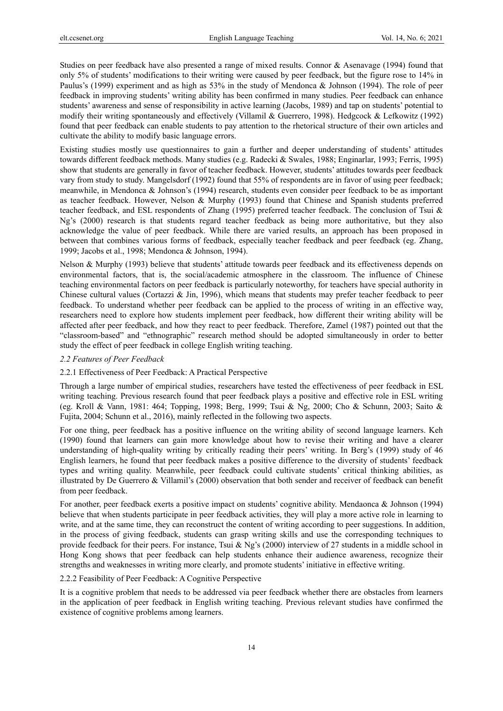Studies on peer feedback have also presented a range of mixed results. Connor & Asenavage (1994) found that only 5% of students' modifications to their writing were caused by peer feedback, but the figure rose to 14% in Paulus's (1999) experiment and as high as 53% in the study of Mendonca & Johnson (1994). The role of peer feedback in improving students' writing ability has been confirmed in many studies. Peer feedback can enhance students' awareness and sense of responsibility in active learning (Jacobs, 1989) and tap on students' potential to modify their writing spontaneously and effectively (Villamil & Guerrero, 1998). Hedgcock & Lefkowitz (1992) found that peer feedback can enable students to pay attention to the rhetorical structure of their own articles and cultivate the ability to modify basic language errors.

Existing studies mostly use questionnaires to gain a further and deeper understanding of students' attitudes towards different feedback methods. Many studies (e.g. Radecki & Swales, 1988; Enginarlar, 1993; Ferris, 1995) show that students are generally in favor of teacher feedback. However, students' attitudes towards peer feedback vary from study to study. Mangelsdorf (1992) found that 55% of respondents are in favor of using peer feedback; meanwhile, in Mendonca & Johnson's (1994) research, students even consider peer feedback to be as important as teacher feedback. However, Nelson & Murphy (1993) found that Chinese and Spanish students preferred teacher feedback, and ESL respondents of Zhang (1995) preferred teacher feedback. The conclusion of Tsui & Ng's (2000) research is that students regard teacher feedback as being more authoritative, but they also acknowledge the value of peer feedback. While there are varied results, an approach has been proposed in between that combines various forms of feedback, especially teacher feedback and peer feedback (eg. Zhang, 1999; Jacobs et al., 1998; Mendonca & Johnson, 1994).

Nelson & Murphy (1993) believe that students' attitude towards peer feedback and its effectiveness depends on environmental factors, that is, the social/academic atmosphere in the classroom. The influence of Chinese teaching environmental factors on peer feedback is particularly noteworthy, for teachers have special authority in Chinese cultural values (Cortazzi & Jin, 1996), which means that students may prefer teacher feedback to peer feedback. To understand whether peer feedback can be applied to the process of writing in an effective way, researchers need to explore how students implement peer feedback, how different their writing ability will be affected after peer feedback, and how they react to peer feedback. Therefore, Zamel (1987) pointed out that the "classroom-based" and "ethnographic" research method should be adopted simultaneously in order to better study the effect of peer feedback in college English writing teaching.

## *2.2 Features of Peer Feedback*

## 2.2.1 Effectiveness of Peer Feedback: A Practical Perspective

Through a large number of empirical studies, researchers have tested the effectiveness of peer feedback in ESL writing teaching. Previous research found that peer feedback plays a positive and effective role in ESL writing (eg. Kroll & Vann, 1981: 464; Topping, 1998; Berg, 1999; Tsui & Ng, 2000; Cho & Schunn, 2003; Saito & Fujita, 2004; Schunn et al., 2016), mainly reflected in the following two aspects.

For one thing, peer feedback has a positive influence on the writing ability of second language learners. Keh (1990) found that learners can gain more knowledge about how to revise their writing and have a clearer understanding of high-quality writing by critically reading their peers' writing. In Berg's (1999) study of 46 English learners, he found that peer feedback makes a positive difference to the diversity of students' feedback types and writing quality. Meanwhile, peer feedback could cultivate students' critical thinking abilities, as illustrated by De Guerrero & Villamil's (2000) observation that both sender and receiver of feedback can benefit from peer feedback.

For another, peer feedback exerts a positive impact on students' cognitive ability. Mendaonca & Johnson (1994) believe that when students participate in peer feedback activities, they will play a more active role in learning to write, and at the same time, they can reconstruct the content of writing according to peer suggestions. In addition, in the process of giving feedback, students can grasp writing skills and use the corresponding techniques to provide feedback for their peers. For instance, Tsui & Ng's (2000) interview of 27 students in a middle school in Hong Kong shows that peer feedback can help students enhance their audience awareness, recognize their strengths and weaknesses in writing more clearly, and promote students' initiative in effective writing.

## 2.2.2 Feasibility of Peer Feedback: A Cognitive Perspective

It is a cognitive problem that needs to be addressed via peer feedback whether there are obstacles from learners in the application of peer feedback in English writing teaching. Previous relevant studies have confirmed the existence of cognitive problems among learners.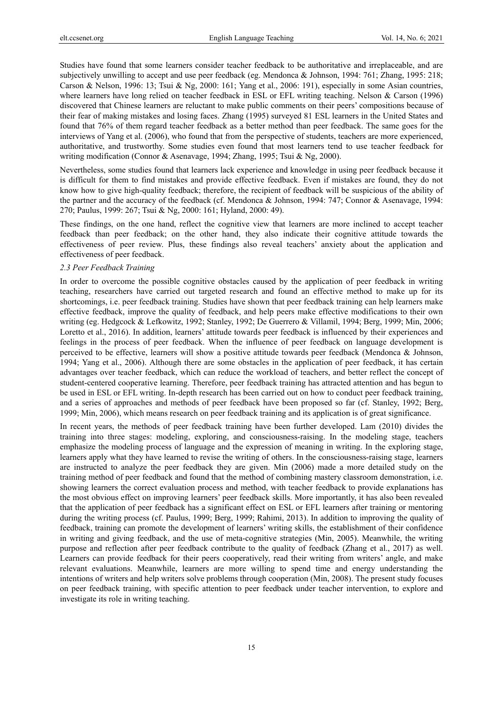Studies have found that some learners consider teacher feedback to be authoritative and irreplaceable, and are subjectively unwilling to accept and use peer feedback (eg. Mendonca & Johnson, 1994: 761; Zhang, 1995: 218; Carson & Nelson, 1996: 13; Tsui & Ng, 2000: 161; Yang et al., 2006: 191), especially in some Asian countries, where learners have long relied on teacher feedback in ESL or EFL writing teaching. Nelson & Carson (1996) discovered that Chinese learners are reluctant to make public comments on their peers' compositions because of their fear of making mistakes and losing faces. Zhang (1995) surveyed 81 ESL learners in the United States and found that 76% of them regard teacher feedback as a better method than peer feedback. The same goes for the interviews of Yang et al. (2006), who found that from the perspective of students, teachers are more experienced, authoritative, and trustworthy. Some studies even found that most learners tend to use teacher feedback for writing modification (Connor & Asenavage, 1994; Zhang, 1995; Tsui & Ng, 2000).

Nevertheless, some studies found that learners lack experience and knowledge in using peer feedback because it is difficult for them to find mistakes and provide effective feedback. Even if mistakes are found, they do not know how to give high-quality feedback; therefore, the recipient of feedback will be suspicious of the ability of the partner and the accuracy of the feedback (cf. Mendonca & Johnson, 1994: 747; Connor & Asenavage, 1994: 270; Paulus, 1999: 267; Tsui & Ng, 2000: 161; Hyland, 2000: 49).

These findings, on the one hand, reflect the cognitive view that learners are more inclined to accept teacher feedback than peer feedback; on the other hand, they also indicate their cognitive attitude towards the effectiveness of peer review. Plus, these findings also reveal teachers' anxiety about the application and effectiveness of peer feedback.

## *2.3 Peer Feedback Training*

In order to overcome the possible cognitive obstacles caused by the application of peer feedback in writing teaching, researchers have carried out targeted research and found an effective method to make up for its shortcomings, i.e. peer feedback training. Studies have shown that peer feedback training can help learners make effective feedback, improve the quality of feedback, and help peers make effective modifications to their own writing (eg. Hedgcock & Lefkowitz, 1992; Stanley, 1992; De Guerrero & Villamil, 1994; Berg, 1999; Min, 2006; Loretto et al., 2016). In addition, learners' attitude towards peer feedback is influenced by their experiences and feelings in the process of peer feedback. When the influence of peer feedback on language development is perceived to be effective, learners will show a positive attitude towards peer feedback (Mendonca & Johnson, 1994; Yang et al., 2006). Although there are some obstacles in the application of peer feedback, it has certain advantages over teacher feedback, which can reduce the workload of teachers, and better reflect the concept of student-centered cooperative learning. Therefore, peer feedback training has attracted attention and has begun to be used in ESL or EFL writing. In-depth research has been carried out on how to conduct peer feedback training, and a series of approaches and methods of peer feedback have been proposed so far (cf. Stanley, 1992; Berg, 1999; Min, 2006), which means research on peer feedback training and its application is of great significance.

In recent years, the methods of peer feedback training have been further developed. Lam (2010) divides the training into three stages: modeling, exploring, and consciousness-raising. In the modeling stage, teachers emphasize the modeling process of language and the expression of meaning in writing. In the exploring stage, learners apply what they have learned to revise the writing of others. In the consciousness-raising stage, learners are instructed to analyze the peer feedback they are given. Min (2006) made a more detailed study on the training method of peer feedback and found that the method of combining mastery classroom demonstration, i.e. showing learners the correct evaluation process and method, with teacher feedback to provide explanations has the most obvious effect on improving learners' peer feedback skills. More importantly, it has also been revealed that the application of peer feedback has a significant effect on ESL or EFL learners after training or mentoring during the writing process (cf. Paulus, 1999; Berg, 1999; Rahimi, 2013). In addition to improving the quality of feedback, training can promote the development of learners' writing skills, the establishment of their confidence in writing and giving feedback, and the use of meta-cognitive strategies (Min, 2005). Meanwhile, the writing purpose and reflection after peer feedback contribute to the quality of feedback (Zhang et al., 2017) as well. Learners can provide feedback for their peers cooperatively, read their writing from writers' angle, and make relevant evaluations. Meanwhile, learners are more willing to spend time and energy understanding the intentions of writers and help writers solve problems through cooperation (Min, 2008). The present study focuses on peer feedback training, with specific attention to peer feedback under teacher intervention, to explore and investigate its role in writing teaching.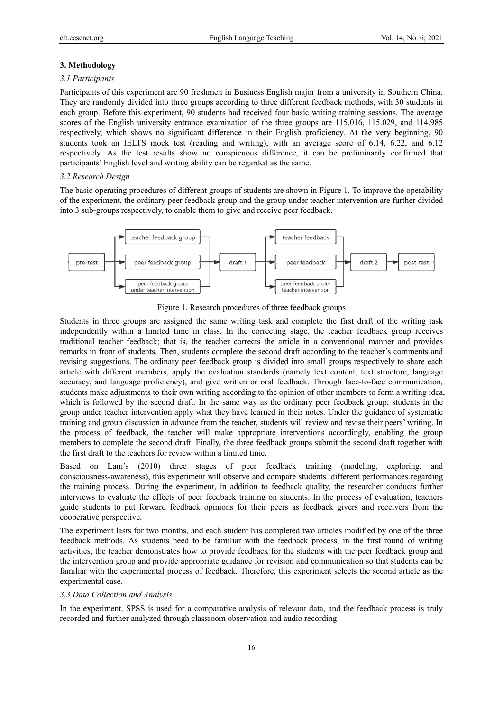## **3. Methodology**

## *3.1 Participants*

Participants of this experiment are 90 freshmen in Business English major from a university in Southern China. They are randomly divided into three groups according to three different feedback methods, with 30 students in each group. Before this experiment, 90 students had received four basic writing training sessions. The average scores of the English university entrance examination of the three groups are 115.016, 115.029, and 114.985 respectively, which shows no significant difference in their English proficiency. At the very beginning, 90 students took an IELTS mock test (reading and writing), with an average score of 6.14, 6.22, and 6.12 respectively. As the test results show no conspicuous difference, it can be preliminarily confirmed that participants' English level and writing ability can be regarded as the same.

## *3.2 Research Design*

The basic operating procedures of different groups of students are shown in Figure 1. To improve the operability of the experiment, the ordinary peer feedback group and the group under teacher intervention are further divided into 3 sub-groups respectively, to enable them to give and receive peer feedback.



Figure 1. Research procedures of three feedback groups

Students in three groups are assigned the same writing task and complete the first draft of the writing task independently within a limited time in class. In the correcting stage, the teacher feedback group receives traditional teacher feedback; that is, the teacher corrects the article in a conventional manner and provides remarks in front of students. Then, students complete the second draft according to the teacher's comments and revising suggestions. The ordinary peer feedback group is divided into small groups respectively to share each article with different members, apply the evaluation standards (namely text content, text structure, language accuracy, and language proficiency), and give written or oral feedback. Through face-to-face communication, students make adjustments to their own writing according to the opinion of other members to form a writing idea, which is followed by the second draft. In the same way as the ordinary peer feedback group, students in the group under teacher intervention apply what they have learned in their notes. Under the guidance of systematic training and group discussion in advance from the teacher, students will review and revise their peers' writing. In the process of feedback, the teacher will make appropriate interventions accordingly, enabling the group members to complete the second draft. Finally, the three feedback groups submit the second draft together with the first draft to the teachers for review within a limited time.

Based on Lam's (2010) three stages of peer feedback training (modeling, exploring, and consciousness-awareness), this experiment will observe and compare students' different performances regarding the training process. During the experiment, in addition to feedback quality, the researcher conducts further interviews to evaluate the effects of peer feedback training on students. In the process of evaluation, teachers guide students to put forward feedback opinions for their peers as feedback givers and receivers from the cooperative perspective.

The experiment lasts for two months, and each student has completed two articles modified by one of the three feedback methods. As students need to be familiar with the feedback process, in the first round of writing activities, the teacher demonstrates how to provide feedback for the students with the peer feedback group and the intervention group and provide appropriate guidance for revision and communication so that students can be familiar with the experimental process of feedback. Therefore, this experiment selects the second article as the experimental case.

## *3.3 Data Collection and Analysis*

In the experiment, SPSS is used for a comparative analysis of relevant data, and the feedback process is truly recorded and further analyzed through classroom observation and audio recording.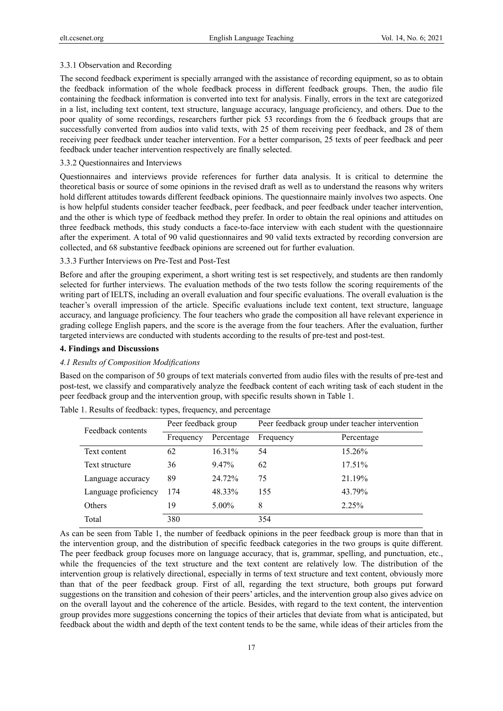## 3.3.1 Observation and Recording

The second feedback experiment is specially arranged with the assistance of recording equipment, so as to obtain the feedback information of the whole feedback process in different feedback groups. Then, the audio file containing the feedback information is converted into text for analysis. Finally, errors in the text are categorized in a list, including text content, text structure, language accuracy, language proficiency, and others. Due to the poor quality of some recordings, researchers further pick 53 recordings from the 6 feedback groups that are successfully converted from audios into valid texts, with 25 of them receiving peer feedback, and 28 of them receiving peer feedback under teacher intervention. For a better comparison, 25 texts of peer feedback and peer feedback under teacher intervention respectively are finally selected.

#### 3.3.2 Questionnaires and Interviews

Questionnaires and interviews provide references for further data analysis. It is critical to determine the theoretical basis or source of some opinions in the revised draft as well as to understand the reasons why writers hold different attitudes towards different feedback opinions. The questionnaire mainly involves two aspects. One is how helpful students consider teacher feedback, peer feedback, and peer feedback under teacher intervention, and the other is which type of feedback method they prefer. In order to obtain the real opinions and attitudes on three feedback methods, this study conducts a face-to-face interview with each student with the questionnaire after the experiment. A total of 90 valid questionnaires and 90 valid texts extracted by recording conversion are collected, and 68 substantive feedback opinions are screened out for further evaluation.

## 3.3.3 Further Interviews on Pre-Test and Post-Test

Before and after the grouping experiment, a short writing test is set respectively, and students are then randomly selected for further interviews. The evaluation methods of the two tests follow the scoring requirements of the writing part of IELTS, including an overall evaluation and four specific evaluations. The overall evaluation is the teacher's overall impression of the article. Specific evaluations include text content, text structure, language accuracy, and language proficiency. The four teachers who grade the composition all have relevant experience in grading college English papers, and the score is the average from the four teachers. After the evaluation, further targeted interviews are conducted with students according to the results of pre-test and post-test.

## **4. Findings and Discussions**

#### *4.1 Results of Composition Modifications*

Based on the comparison of 50 groups of text materials converted from audio files with the results of pre-test and post-test, we classify and comparatively analyze the feedback content of each writing task of each student in the peer feedback group and the intervention group, with specific results shown in Table 1.

| Feedback contents    | Peer feedback group |            | Peer feedback group under teacher intervention |            |  |  |
|----------------------|---------------------|------------|------------------------------------------------|------------|--|--|
|                      | Frequency           | Percentage | Frequency                                      | Percentage |  |  |
| Text content         | 62                  | 16.31%     | 54                                             | 15.26%     |  |  |
| Text structure       | 36                  | 9.47%      | 62                                             | 17.51%     |  |  |
| Language accuracy    | 89                  | 24.72%     | 75                                             | 21.19%     |  |  |
| Language proficiency | 174                 | 48.33%     | 155                                            | 43.79%     |  |  |
| Others               | 19                  | $5.00\%$   | 8                                              | 2.25%      |  |  |
| Total                | 380                 |            | 354                                            |            |  |  |

| Table 1. Results of feedback: types, frequency, and percentage |  |  |  |  |
|----------------------------------------------------------------|--|--|--|--|
|----------------------------------------------------------------|--|--|--|--|

As can be seen from Table 1, the number of feedback opinions in the peer feedback group is more than that in the intervention group, and the distribution of specific feedback categories in the two groups is quite different. The peer feedback group focuses more on language accuracy, that is, grammar, spelling, and punctuation, etc., while the frequencies of the text structure and the text content are relatively low. The distribution of the intervention group is relatively directional, especially in terms of text structure and text content, obviously more than that of the peer feedback group. First of all, regarding the text structure, both groups put forward suggestions on the transition and cohesion of their peers' articles, and the intervention group also gives advice on on the overall layout and the coherence of the article. Besides, with regard to the text content, the intervention group provides more suggestions concerning the topics of their articles that deviate from what is anticipated, but feedback about the width and depth of the text content tends to be the same, while ideas of their articles from the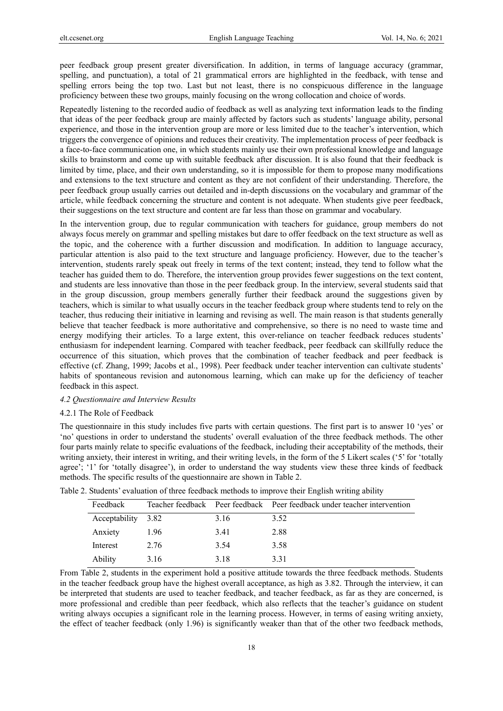peer feedback group present greater diversification. In addition, in terms of language accuracy (grammar, spelling, and punctuation), a total of 21 grammatical errors are highlighted in the feedback, with tense and spelling errors being the top two. Last but not least, there is no conspicuous difference in the language proficiency between these two groups, mainly focusing on the wrong collocation and choice of words.

Repeatedly listening to the recorded audio of feedback as well as analyzing text information leads to the finding that ideas of the peer feedback group are mainly affected by factors such as students' language ability, personal experience, and those in the intervention group are more or less limited due to the teacher's intervention, which triggers the convergence of opinions and reduces their creativity. The implementation process of peer feedback is a face-to-face communication one, in which students mainly use their own professional knowledge and language skills to brainstorm and come up with suitable feedback after discussion. It is also found that their feedback is limited by time, place, and their own understanding, so it is impossible for them to propose many modifications and extensions to the text structure and content as they are not confident of their understanding. Therefore, the peer feedback group usually carries out detailed and in-depth discussions on the vocabulary and grammar of the article, while feedback concerning the structure and content is not adequate. When students give peer feedback, their suggestions on the text structure and content are far less than those on grammar and vocabulary.

In the intervention group, due to regular communication with teachers for guidance, group members do not always focus merely on grammar and spelling mistakes but dare to offer feedback on the text structure as well as the topic, and the coherence with a further discussion and modification. In addition to language accuracy, particular attention is also paid to the text structure and language proficiency. However, due to the teacher's intervention, students rarely speak out freely in terms of the text content; instead, they tend to follow what the teacher has guided them to do. Therefore, the intervention group provides fewer suggestions on the text content, and students are less innovative than those in the peer feedback group. In the interview, several students said that in the group discussion, group members generally further their feedback around the suggestions given by teachers, which is similar to what usually occurs in the teacher feedback group where students tend to rely on the teacher, thus reducing their initiative in learning and revising as well. The main reason is that students generally believe that teacher feedback is more authoritative and comprehensive, so there is no need to waste time and energy modifying their articles. To a large extent, this over-reliance on teacher feedback reduces students' enthusiasm for independent learning. Compared with teacher feedback, peer feedback can skillfully reduce the occurrence of this situation, which proves that the combination of teacher feedback and peer feedback is effective (cf. Zhang, 1999; Jacobs et al., 1998). Peer feedback under teacher intervention can cultivate students' habits of spontaneous revision and autonomous learning, which can make up for the deficiency of teacher feedback in this aspect.

#### *4.2 Questionnaire and Interview Results*

#### 4.2.1 The Role of Feedback

The questionnaire in this study includes five parts with certain questions. The first part is to answer 10 'yes' or 'no' questions in order to understand the students' overall evaluation of the three feedback methods. The other four parts mainly relate to specific evaluations of the feedback, including their acceptability of the methods, their writing anxiety, their interest in writing, and their writing levels, in the form of the 5 Likert scales ('5' for 'totally agree'; '1' for 'totally disagree'), in order to understand the way students view these three kinds of feedback methods. The specific results of the questionnaire are shown in Table 2.

| Feedback           |      |      | Teacher feedback Peer feedback Peer feedback under teacher intervention |
|--------------------|------|------|-------------------------------------------------------------------------|
| Acceptability 3.82 |      | 3.16 | 3.52                                                                    |
| Anxiety            | 1.96 | 3.41 | 2.88                                                                    |
| Interest           | 2.76 | 3.54 | 3.58                                                                    |
| Ability            | 3.16 | 3.18 | 3.31                                                                    |

Table 2. Students' evaluation of three feedback methods to improve their English writing ability

From Table 2, students in the experiment hold a positive attitude towards the three feedback methods. Students in the teacher feedback group have the highest overall acceptance, as high as 3.82. Through the interview, it can be interpreted that students are used to teacher feedback, and teacher feedback, as far as they are concerned, is more professional and credible than peer feedback, which also reflects that the teacher's guidance on student writing always occupies a significant role in the learning process. However, in terms of easing writing anxiety, the effect of teacher feedback (only 1.96) is significantly weaker than that of the other two feedback methods,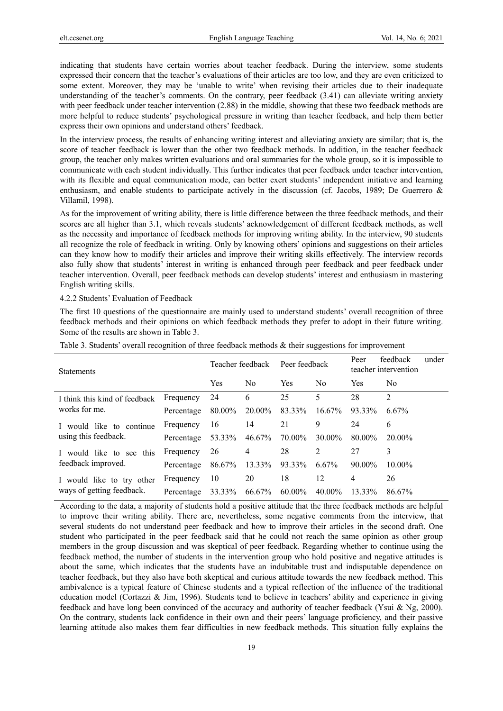indicating that students have certain worries about teacher feedback. During the interview, some students expressed their concern that the teacher's evaluations of their articles are too low, and they are even criticized to some extent. Moreover, they may be 'unable to write' when revising their articles due to their inadequate understanding of the teacher's comments. On the contrary, peer feedback (3.41) can alleviate writing anxiety with peer feedback under teacher intervention (2.88) in the middle, showing that these two feedback methods are more helpful to reduce students' psychological pressure in writing than teacher feedback, and help them better express their own opinions and understand others' feedback.

In the interview process, the results of enhancing writing interest and alleviating anxiety are similar; that is, the score of teacher feedback is lower than the other two feedback methods. In addition, in the teacher feedback group, the teacher only makes written evaluations and oral summaries for the whole group, so it is impossible to communicate with each student individually. This further indicates that peer feedback under teacher intervention, with its flexible and equal communication mode, can better exert students' independent initiative and learning enthusiasm, and enable students to participate actively in the discussion (cf. Jacobs, 1989; De Guerrero & Villamil, 1998).

As for the improvement of writing ability, there is little difference between the three feedback methods, and their scores are all higher than 3.1, which reveals students' acknowledgement of different feedback methods, as well as the necessity and importance of feedback methods for improving writing ability. In the interview, 90 students all recognize the role of feedback in writing. Only by knowing others' opinions and suggestions on their articles can they know how to modify their articles and improve their writing skills effectively. The interview records also fully show that students' interest in writing is enhanced through peer feedback and peer feedback under teacher intervention. Overall, peer feedback methods can develop students' interest and enthusiasm in mastering English writing skills.

4.2.2 Students' Evaluation of Feedback

The first 10 questions of the questionnaire are mainly used to understand students' overall recognition of three feedback methods and their opinions on which feedback methods they prefer to adopt in their future writing. Some of the results are shown in Table 3.

| <b>Statements</b>                                      |            | Teacher feedback |                | Peer feedback |                | feedback<br>Peer<br>teacher intervention |           | under |
|--------------------------------------------------------|------------|------------------|----------------|---------------|----------------|------------------------------------------|-----------|-------|
|                                                        |            | Yes              | N <sub>0</sub> | Yes           | N <sub>0</sub> | Yes                                      | No.       |       |
| I think this kind of feedback<br>works for me.         | Frequency  | 24               | 6              | 25            | 5              | 28                                       | 2         |       |
|                                                        | Percentage | 80.00%           | 20.00%         | 83.33%        | $16.67\%$      | 93.33%                                   | $6.67\%$  |       |
| I would like to continue<br>using this feedback.       | Frequency  | 16               | 14             | 21            | 9              | 24                                       | 6         |       |
|                                                        | Percentage | 53.33%           | 46.67%         | 70.00%        | 30.00%         | 80.00%                                   | 20.00%    |       |
| I would like to see this<br>feedback improved.         | Frequency  | 26               | 4              | 28            | 2              | 27                                       | 3         |       |
|                                                        | Percentage | 86.67%           | 13.33%         | 93.33%        | 6.67%          | $90.00\%$                                | $10.00\%$ |       |
| I would like to try other<br>ways of getting feedback. | Frequency  | 10               | 20             | 18            | 12             | 4                                        | 26        |       |
|                                                        | Percentage | 33.33%           | 66.67%         | 60.00%        | 40.00%         | 13.33%                                   | 86.67%    |       |

Table 3. Students' overall recognition of three feedback methods & their suggestions for improvement

According to the data, a majority of students hold a positive attitude that the three feedback methods are helpful to improve their writing ability. There are, nevertheless, some negative comments from the interview, that several students do not understand peer feedback and how to improve their articles in the second draft. One student who participated in the peer feedback said that he could not reach the same opinion as other group members in the group discussion and was skeptical of peer feedback. Regarding whether to continue using the feedback method, the number of students in the intervention group who hold positive and negative attitudes is about the same, which indicates that the students have an indubitable trust and indisputable dependence on teacher feedback, but they also have both skeptical and curious attitude towards the new feedback method. This ambivalence is a typical feature of Chinese students and a typical reflection of the influence of the traditional education model (Cortazzi & Jim, 1996). Students tend to believe in teachers' ability and experience in giving feedback and have long been convinced of the accuracy and authority of teacher feedback (Ysui & Ng, 2000). On the contrary, students lack confidence in their own and their peers' language proficiency, and their passive learning attitude also makes them fear difficulties in new feedback methods. This situation fully explains the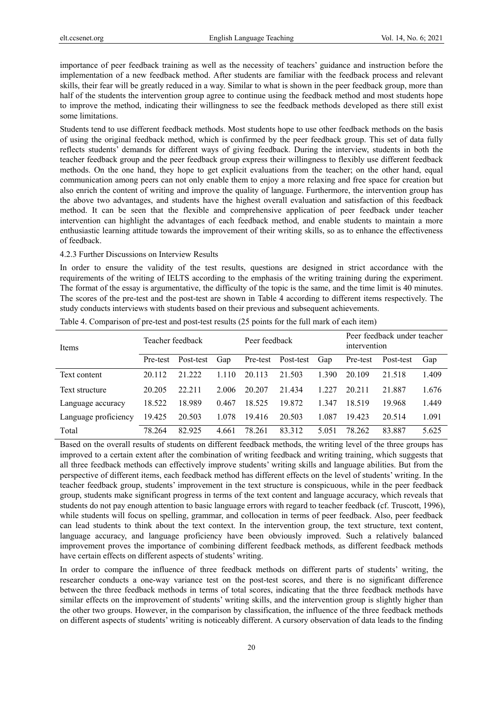importance of peer feedback training as well as the necessity of teachers' guidance and instruction before the implementation of a new feedback method. After students are familiar with the feedback process and relevant skills, their fear will be greatly reduced in a way. Similar to what is shown in the peer feedback group, more than half of the students the intervention group agree to continue using the feedback method and most students hope to improve the method, indicating their willingness to see the feedback methods developed as there still exist some limitations.

Students tend to use different feedback methods. Most students hope to use other feedback methods on the basis of using the original feedback method, which is confirmed by the peer feedback group. This set of data fully reflects students' demands for different ways of giving feedback. During the interview, students in both the teacher feedback group and the peer feedback group express their willingness to flexibly use different feedback methods. On the one hand, they hope to get explicit evaluations from the teacher; on the other hand, equal communication among peers can not only enable them to enjoy a more relaxing and free space for creation but also enrich the content of writing and improve the quality of language. Furthermore, the intervention group has the above two advantages, and students have the highest overall evaluation and satisfaction of this feedback method. It can be seen that the flexible and comprehensive application of peer feedback under teacher intervention can highlight the advantages of each feedback method, and enable students to maintain a more enthusiastic learning attitude towards the improvement of their writing skills, so as to enhance the effectiveness of feedback.

## 4.2.3 Further Discussions on Interview Results

In order to ensure the validity of the test results, questions are designed in strict accordance with the requirements of the writing of IELTS according to the emphasis of the writing training during the experiment. The format of the essay is argumentative, the difficulty of the topic is the same, and the time limit is 40 minutes. The scores of the pre-test and the post-test are shown in Table 4 according to different items respectively. The study conducts interviews with students based on their previous and subsequent achievements.

| Items                | Teacher feedback |           |       | Peer feedback |                    |       | Peer feedback under teacher<br>intervention |           |       |
|----------------------|------------------|-----------|-------|---------------|--------------------|-------|---------------------------------------------|-----------|-------|
|                      | Pre-test         | Post-test | Gap   |               | Pre-test Post-test | Gap   | Pre-test                                    | Post-test | Gap   |
| Text content         | 20.112           | 21.222    | 1.110 | 20.113        | 21.503             | 1.390 | 20.109                                      | 21.518    | 1.409 |
| Text structure       | 20.205           | 22.211    | 2.006 | 20.207        | 21.434             | 1.227 | 20.211                                      | 21.887    | 1.676 |
| Language accuracy    | 18.522           | 18.989    | 0.467 | 18.525        | 19.872             | 1.347 | 18.519                                      | 19.968    | 1.449 |
| Language proficiency | 19.425           | 20.503    | 1.078 | 19.416        | 20.503             | 1.087 | 19.423                                      | 20.514    | 1.091 |
| Total                | 78.264           | 82.925    | 4.661 | 78.261        | 83.312             | 5.051 | 78.262                                      | 83.887    | 5.625 |

Table 4. Comparison of pre-test and post-test results (25 points for the full mark of each item)

Based on the overall results of students on different feedback methods, the writing level of the three groups has improved to a certain extent after the combination of writing feedback and writing training, which suggests that all three feedback methods can effectively improve students' writing skills and language abilities. But from the perspective of different items, each feedback method has different effects on the level of students' writing. In the teacher feedback group, students' improvement in the text structure is conspicuous, while in the peer feedback group, students make significant progress in terms of the text content and language accuracy, which reveals that students do not pay enough attention to basic language errors with regard to teacher feedback (cf. Truscott, 1996), while students will focus on spelling, grammar, and collocation in terms of peer feedback. Also, peer feedback can lead students to think about the text context. In the intervention group, the text structure, text content, language accuracy, and language proficiency have been obviously improved. Such a relatively balanced improvement proves the importance of combining different feedback methods, as different feedback methods have certain effects on different aspects of students' writing.

In order to compare the influence of three feedback methods on different parts of students' writing, the researcher conducts a one-way variance test on the post-test scores, and there is no significant difference between the three feedback methods in terms of total scores, indicating that the three feedback methods have similar effects on the improvement of students' writing skills, and the intervention group is slightly higher than the other two groups. However, in the comparison by classification, the influence of the three feedback methods on different aspects of students' writing is noticeably different. A cursory observation of data leads to the finding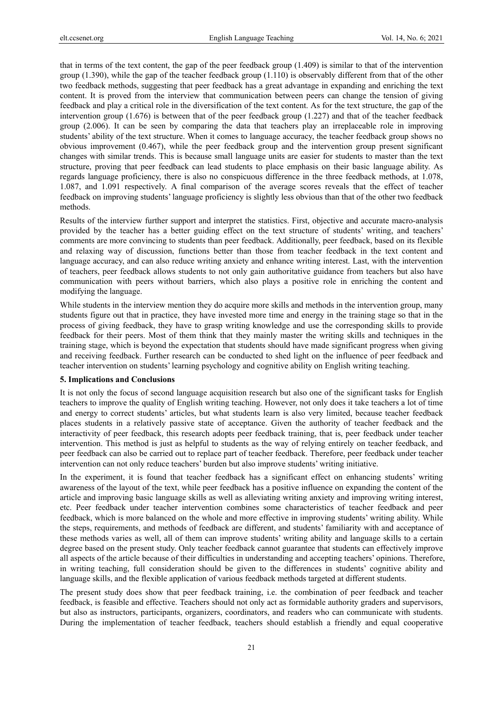that in terms of the text content, the gap of the peer feedback group (1.409) is similar to that of the intervention group  $(1.390)$ , while the gap of the teacher feedback group  $(1.110)$  is observably different from that of the other two feedback methods, suggesting that peer feedback has a great advantage in expanding and enriching the text content. It is proved from the interview that communication between peers can change the tension of giving feedback and play a critical role in the diversification of the text content. As for the text structure, the gap of the intervention group (1.676) is between that of the peer feedback group (1.227) and that of the teacher feedback group (2.006). It can be seen by comparing the data that teachers play an irreplaceable role in improving students' ability of the text structure. When it comes to language accuracy, the teacher feedback group shows no obvious improvement (0.467), while the peer feedback group and the intervention group present significant changes with similar trends. This is because small language units are easier for students to master than the text structure, proving that peer feedback can lead students to place emphasis on their basic language ability. As regards language proficiency, there is also no conspicuous difference in the three feedback methods, at 1.078, 1.087, and 1.091 respectively. A final comparison of the average scores reveals that the effect of teacher feedback on improving students' language proficiency is slightly less obvious than that of the other two feedback methods.

Results of the interview further support and interpret the statistics. First, objective and accurate macro-analysis provided by the teacher has a better guiding effect on the text structure of students' writing, and teachers' comments are more convincing to students than peer feedback. Additionally, peer feedback, based on its flexible and relaxing way of discussion, functions better than those from teacher feedback in the text content and language accuracy, and can also reduce writing anxiety and enhance writing interest. Last, with the intervention of teachers, peer feedback allows students to not only gain authoritative guidance from teachers but also have communication with peers without barriers, which also plays a positive role in enriching the content and modifying the language.

While students in the interview mention they do acquire more skills and methods in the intervention group, many students figure out that in practice, they have invested more time and energy in the training stage so that in the process of giving feedback, they have to grasp writing knowledge and use the corresponding skills to provide feedback for their peers. Most of them think that they mainly master the writing skills and techniques in the training stage, which is beyond the expectation that students should have made significant progress when giving and receiving feedback. Further research can be conducted to shed light on the influence of peer feedback and teacher intervention on students' learning psychology and cognitive ability on English writing teaching.

#### **5. Implications and Conclusions**

It is not only the focus of second language acquisition research but also one of the significant tasks for English teachers to improve the quality of English writing teaching. However, not only does it take teachers a lot of time and energy to correct students' articles, but what students learn is also very limited, because teacher feedback places students in a relatively passive state of acceptance. Given the authority of teacher feedback and the interactivity of peer feedback, this research adopts peer feedback training, that is, peer feedback under teacher intervention. This method is just as helpful to students as the way of relying entirely on teacher feedback, and peer feedback can also be carried out to replace part of teacher feedback. Therefore, peer feedback under teacher intervention can not only reduce teachers' burden but also improve students' writing initiative.

In the experiment, it is found that teacher feedback has a significant effect on enhancing students' writing awareness of the layout of the text, while peer feedback has a positive influence on expanding the content of the article and improving basic language skills as well as alleviating writing anxiety and improving writing interest, etc. Peer feedback under teacher intervention combines some characteristics of teacher feedback and peer feedback, which is more balanced on the whole and more effective in improving students' writing ability. While the steps, requirements, and methods of feedback are different, and students' familiarity with and acceptance of these methods varies as well, all of them can improve students' writing ability and language skills to a certain degree based on the present study. Only teacher feedback cannot guarantee that students can effectively improve all aspects of the article because of their difficulties in understanding and accepting teachers' opinions. Therefore, in writing teaching, full consideration should be given to the differences in students' cognitive ability and language skills, and the flexible application of various feedback methods targeted at different students.

The present study does show that peer feedback training, i.e. the combination of peer feedback and teacher feedback, is feasible and effective. Teachers should not only act as formidable authority graders and supervisors, but also as instructors, participants, organizers, coordinators, and readers who can communicate with students. During the implementation of teacher feedback, teachers should establish a friendly and equal cooperative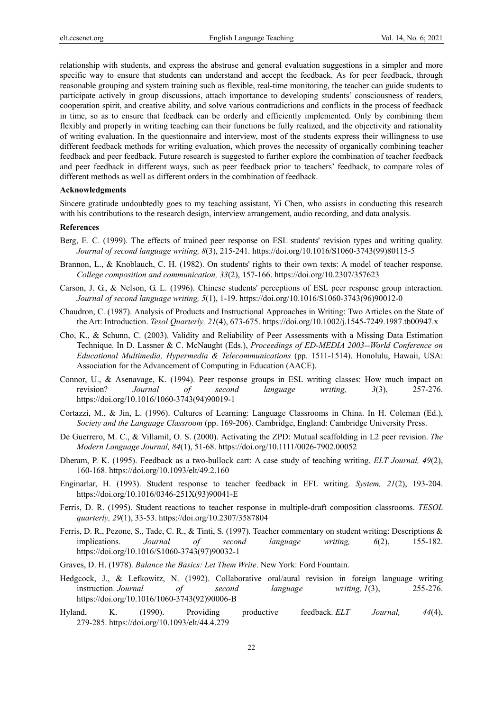relationship with students, and express the abstruse and general evaluation suggestions in a simpler and more specific way to ensure that students can understand and accept the feedback. As for peer feedback, through reasonable grouping and system training such as flexible, real-time monitoring, the teacher can guide students to participate actively in group discussions, attach importance to developing students' consciousness of readers, cooperation spirit, and creative ability, and solve various contradictions and conflicts in the process of feedback in time, so as to ensure that feedback can be orderly and efficiently implemented. Only by combining them flexibly and properly in writing teaching can their functions be fully realized, and the objectivity and rationality of writing evaluation. In the questionnaire and interview, most of the students express their willingness to use different feedback methods for writing evaluation, which proves the necessity of organically combining teacher feedback and peer feedback. Future research is suggested to further explore the combination of teacher feedback and peer feedback in different ways, such as peer feedback prior to teachers' feedback, to compare roles of different methods as well as different orders in the combination of feedback.

## **Acknowledgments**

Sincere gratitude undoubtedly goes to my teaching assistant, Yi Chen, who assists in conducting this research with his contributions to the research design, interview arrangement, audio recording, and data analysis.

#### **References**

- Berg, E. C. (1999). The effects of trained peer response on ESL students' revision types and writing quality. *Journal of second language writing, 8*(3), 215-241. https://doi.org/10.1016/S1060-3743(99)80115-5
- Brannon, L., & Knoblauch, C. H. (1982). On students' rights to their own texts: A model of teacher response. *College composition and communication, 33*(2), 157-166. https://doi.org/10.2307/357623
- Carson, J. G., & Nelson, G. L. (1996). Chinese students' perceptions of ESL peer response group interaction. *Journal of second language writing, 5*(1), 1-19. https://doi.org/10.1016/S1060-3743(96)90012-0
- Chaudron, C. (1987). Analysis of Products and Instructional Approaches in Writing: Two Articles on the State of the Art: Introduction. *Tesol Quarterly, 21*(4), 673-675. https://doi.org/10.1002/j.1545-7249.1987.tb00947.x
- Cho, K., & Schunn, C. (2003). Validity and Reliability of Peer Assessments with a Missing Data Estimation Technique. In D. Lassner & C. McNaught (Eds.), *Proceedings of ED-MEDIA 2003--World Conference on Educational Multimedia, Hypermedia & Telecommunications* (pp. 1511-1514). Honolulu, Hawaii, USA: Association for the Advancement of Computing in Education (AACE).
- Connor, U., & Asenavage, K. (1994). Peer response groups in ESL writing classes: How much impact on revision? *Journal of second language writing, 3*(3), 257-276. https://doi.org/10.1016/1060-3743(94)90019-1
- Cortazzi, M., & Jin, L. (1996). Cultures of Learning: Language Classrooms in China. In H. Coleman (Ed.), *Society and the Language Classroom* (pp. 169-206). Cambridge, England: Cambridge University Press.
- De Guerrero, M. C., & Villamil, O. S. (2000). Activating the ZPD: Mutual scaffolding in L2 peer revision. *The Modern Language Journal, 84*(1), 51-68. https://doi.org/10.1111/0026-7902.00052
- Dheram, P. K. (1995). Feedback as a two-bullock cart: A case study of teaching writing. *ELT Journal, 49*(2), 160-168. https://doi.org/10.1093/elt/49.2.160
- Enginarlar, H. (1993). Student response to teacher feedback in EFL writing. *System, 21*(2), 193-204. https://doi.org/10.1016/0346-251X(93)90041-E
- Ferris, D. R. (1995). Student reactions to teacher response in multiple‐draft composition classrooms. *TESOL quarterly, 29*(1), 33-53. https://doi.org/10.2307/3587804
- Ferris, D. R., Pezone, S., Tade, C. R., & Tinti, S. (1997). Teacher commentary on student writing: Descriptions & implications. *Journal of second language writing, 6*(2), 155-182. https://doi.org/10.1016/S1060-3743(97)90032-1
- Graves, D. H. (1978). *Balance the Basics: Let Them Write*. New York: Ford Fountain.
- Hedgcock, J., & Lefkowitz, N. (1992). Collaborative oral/aural revision in foreign language writing instruction. *Journal of second language writing, 1*(3), 255-276. https://doi.org/10.1016/1060-3743(92)90006-B
- Hyland, K. (1990). Providing productive feedback. *ELT Journal, 44*(4), 279-285. https://doi.org/10.1093/elt/44.4.279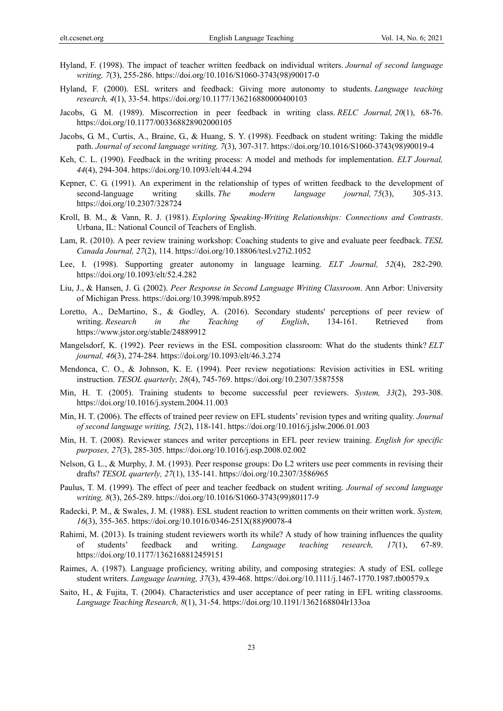- Hyland, F. (1998). The impact of teacher written feedback on individual writers. *Journal of second language writing, 7*(3), 255-286. https://doi.org/10.1016/S1060-3743(98)90017-0
- Hyland, F. (2000). ESL writers and feedback: Giving more autonomy to students. *Language teaching research, 4*(1), 33-54. https://doi.org/10.1177/136216880000400103
- Jacobs, G. M. (1989). Miscorrection in peer feedback in writing class. *RELC Journal, 20*(1), 68-76. https://doi.org/10.1177/003368828902000105
- Jacobs, G. M., Curtis, A., Braine, G., & Huang, S. Y. (1998). Feedback on student writing: Taking the middle path. *Journal of second language writing, 7*(3), 307-317. https://doi.org/10.1016/S1060-3743(98)90019-4
- Keh, C. L. (1990). Feedback in the writing process: A model and methods for implementation. *ELT Journal, 44*(4), 294-304. https://doi.org/10.1093/elt/44.4.294
- Kepner, C. G. (1991). An experiment in the relationship of types of written feedback to the development of second-language writing skills. *The modern language journal, 75*(3), 305-313. https://doi.org/10.2307/328724
- Kroll, B. M., & Vann, R. J. (1981). *Exploring Speaking-Writing Relationships: Connections and Contrasts*. Urbana, IL: National Council of Teachers of English.
- Lam, R. (2010). A peer review training workshop: Coaching students to give and evaluate peer feedback. *TESL Canada Journal, 27*(2), 114. https://doi.org/10.18806/tesl.v27i2.1052
- Lee, I. (1998). Supporting greater autonomy in language learning. *ELT Journal, 52*(4), 282-290. https://doi.org/10.1093/elt/52.4.282
- Liu, J., & Hansen, J. G. (2002). *Peer Response in Second Language Writing Classroom*. Ann Arbor: University of Michigan Press. https://doi.org/10.3998/mpub.8952
- Loretto, A., DeMartino, S., & Godley, A. (2016). Secondary students' perceptions of peer review of writing. *Research in the Teaching of English*, 134-161. Retrieved from https://www.jstor.org/stable/24889912
- Mangelsdorf, K. (1992). Peer reviews in the ESL composition classroom: What do the students think? *ELT journal, 46*(3), 274-284. https://doi.org/10.1093/elt/46.3.274
- Mendonca, C. O., & Johnson, K. E. (1994). Peer review negotiations: Revision activities in ESL writing instruction. *TESOL quarterly, 28*(4), 745-769. https://doi.org/10.2307/3587558
- Min, H. T. (2005). Training students to become successful peer reviewers. *System, 33*(2), 293-308. https://doi.org/10.1016/j.system.2004.11.003
- Min, H. T. (2006). The effects of trained peer review on EFL students' revision types and writing quality. *Journal of second language writing, 15*(2), 118-141. https://doi.org/10.1016/j.jslw.2006.01.003
- Min, H. T. (2008). Reviewer stances and writer perceptions in EFL peer review training. *English for specific purposes, 27*(3), 285-305. https://doi.org/10.1016/j.esp.2008.02.002
- Nelson, G. L., & Murphy, J. M. (1993). Peer response groups: Do L2 writers use peer comments in revising their drafts? *TESOL quarterly, 27*(1), 135-141. https://doi.org/10.2307/3586965
- Paulus, T. M. (1999). The effect of peer and teacher feedback on student writing. *Journal of second language writing, 8*(3), 265-289. https://doi.org/10.1016/S1060-3743(99)80117-9
- Radecki, P. M., & Swales, J. M. (1988). ESL student reaction to written comments on their written work. *System, 16*(3), 355-365. https://doi.org/10.1016/0346-251X(88)90078-4
- Rahimi, M. (2013). Is training student reviewers worth its while? A study of how training influences the quality of students' feedback and writing. *Language teaching research, 17*(1), 67-89. https://doi.org/10.1177/1362168812459151
- Raimes, A. (1987). Language proficiency, writing ability, and composing strategies: A study of ESL college student writers. *Language learning, 37*(3), 439-468. https://doi.org/10.1111/j.1467-1770.1987.tb00579.x
- Saito, H., & Fujita, T. (2004). Characteristics and user acceptance of peer rating in EFL writing classrooms. *Language Teaching Research, 8*(1), 31-54. https://doi.org/10.1191/1362168804lr133oa